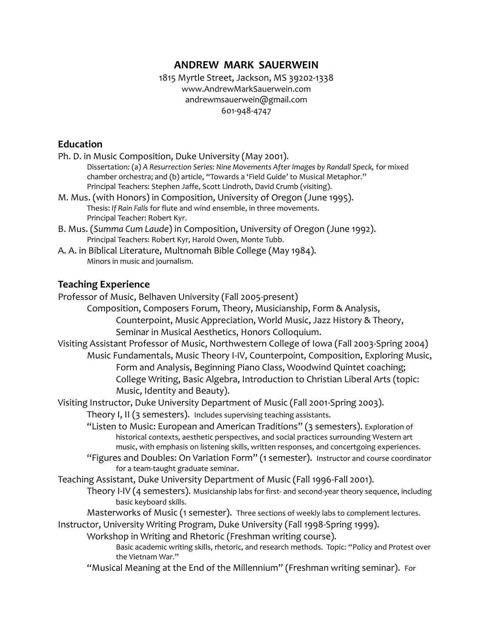# **ANDREW MARK SAUERWEIN**

1815 Myrtle Street, Jackson, MS 39202-1338 www.AndrewMarkSauerwein.com andrewmsauerwein@gmail.com 601-948-4747

# **Education**

| Ph. D. in Music Composition, Duke University (May 2001).                                                      |
|---------------------------------------------------------------------------------------------------------------|
| Dissertation: (a) A Resurrection Series: Nine Movements After Images by Randall Speck, for mixed              |
| chamber orchestra; and (b) article, "Towards a 'Field Guide' to Musical Metaphor."                            |
| Principal Teachers: Stephen Jaffe, Scott Lindroth, David Crumb (visiting).                                    |
| M. Mus. (with Honors) in Composition, University of Oregon (June 1995).                                       |
| Thesis: If Rain Falls for flute and wind ensemble, in three movements.                                        |
| Principal Teacher: Robert Kyr.<br>B. Mus. (Summa Cum Laude) in Composition, University of Oregon (June 1992). |
| Principal Teachers: Robert Kyr, Harold Owen, Monte Tubb.                                                      |
| A. A. in Biblical Literature, Multnomah Bible College (May 1984).                                             |
| Minors in music and journalism.                                                                               |
|                                                                                                               |
| <b>Teaching Experience</b>                                                                                    |
| Professor of Music, Belhaven University (Fall 2005-present)                                                   |
| Composition, Composers Forum, Theory, Musicianship, Form & Analysis,                                          |
| Counterpoint, Music Appreciation, World Music, Jazz History & Theory,                                         |
| Seminar in Musical Aesthetics, Honors Colloquium.                                                             |
| Visiting Assistant Professor of Music, Northwestern College of Iowa (Fall 2003-Spring 2004)                   |
| Music Fundamentals, Music Theory I-IV, Counterpoint, Composition, Exploring Music,                            |
| Form and Analysis, Beginning Piano Class, Woodwind Quintet coaching;                                          |
| College Writing, Basic Algebra, Introduction to Christian Liberal Arts (topic:                                |
| Music, Identity and Beauty).                                                                                  |
| Visiting Instructor, Duke University Department of Music (Fall 2001-Spring 2003).                             |
| Theory I, II (3 semesters). Includes supervising teaching assistants.                                         |
| "Listen to Music: European and American Traditions" (3 semesters). Exploration of                             |
| historical contexts, aesthetic perspectives, and social practices surrounding Western art                     |
| music, with emphasis on listening skills, written responses, and concertgoing experiences.                    |
| "Figures and Doubles: On Variation Form" (1 semester). Instructor and course coordinator                      |
| for a team-taught graduate seminar.                                                                           |
| Teaching Assistant, Duke University Department of Music (Fall 1996-Fall 2001).                                |
| Theory I-IV (4 semesters). Musicianship labs for first- and second-year theory sequence, including            |
| basic keyboard skills.                                                                                        |
| Masterworks of Music (1 semester). Three sections of weekly labs to complement lectures.                      |
| Instructor, University Writing Program, Duke University (Fall 1998-Spring 1999).                              |

Workshop in Writing and Rhetoric (Freshman writing course).

Basic academic writing skills, rhetoric, and research methods. Topic: "Policy and Protest over the Vietnam War."

"Musical Meaning at the End of the Millennium" (Freshman writing seminar). For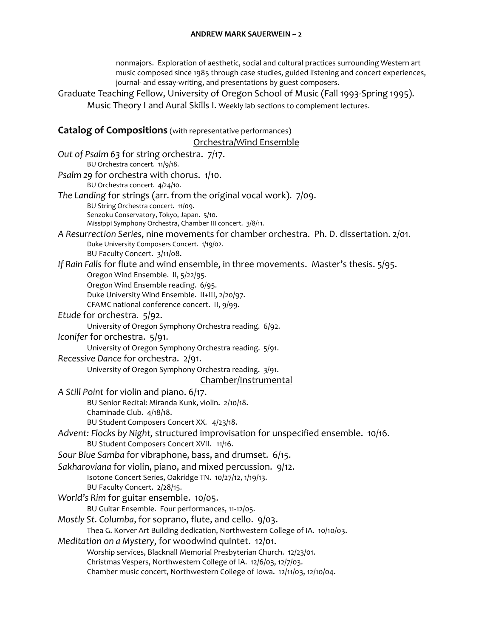nonmajors. Exploration of aesthetic, social and cultural practices surrounding Western art music composed since 1985 through case studies, guided listening and concert experiences, journal- and essay-writing, and presentations by guest composers.

Graduate Teaching Fellow, University of Oregon School of Music (Fall 1993-Spring 1995). Music Theory I and Aural Skills I. Weekly lab sections to complement lectures.

## **Catalog of Compositions** (with representative performances) Orchestra/Wind Ensemble *Out of Psalm 63* for string orchestra. 7/17. BU Orchestra concert. 11/9/18. *Psalm 29* for orchestra with chorus. 1/10. BU Orchestra concert. 4/24/10. *The Landing* for strings (arr. from the original vocal work). 7/09. BU String Orchestra concert. 11/09. Senzoku Conservatory, Tokyo, Japan. 5/10. Missippi Symphony Orchestra, Chamber III concert. 3/8/11. *A Resurrection Series*, nine movements for chamber orchestra.Ph. D. dissertation. 2/01. Duke University Composers Concert. 1/19/02. BU Faculty Concert. 3/11/08. *If Rain Falls* for flute and wind ensemble, in three movements. Master's thesis. 5/95. Oregon Wind Ensemble. II, 5/22/95. Oregon Wind Ensemble reading. 6/95. Duke University Wind Ensemble. II+III, 2/20/97. CFAMC national conference concert. II, 9/99. *Etude* for orchestra. 5/92. University of Oregon Symphony Orchestra reading. 6/92. *Iconifer* for orchestra. 5/91. University of Oregon Symphony Orchestra reading. 5/91. *Recessive Dance* for orchestra. 2/91. University of Oregon Symphony Orchestra reading. 3/91. Chamber/Instrumental *A Still Point* for violin and piano. 6/17.

BU Senior Recital: Miranda Kunk, violin. 2/10/18.

Chaminade Club. 4/18/18.

BU Student Composers Concert XX. 4/23/18.

```
Advent: Flocks by Night, structured improvisation for unspecified ensemble. 10/16.
BU Student Composers Concert XVII. 11/16.
```
*Sour Blue Samba* for vibraphone, bass, and drumset. 6/15.

*Sakharoviana* for violin, piano, and mixed percussion. 9/12.

Isotone Concert Series, Oakridge TN. 10/27/12, 1/19/13.

BU Faculty Concert. 2/28/15.

- *World's Rim* for guitar ensemble. 10/05.
	- BU Guitar Ensemble. Four performances, 11-12/05.
- *Mostly St. Columba*, for soprano, flute, and cello. 9/03.

Thea G. Korver Art Building dedication, Northwestern College of IA. 10/10/03.

## *Meditation on a Mystery*, for woodwind quintet. 12/01.

Worship services, Blacknall Memorial Presbyterian Church. 12/23/01.

Christmas Vespers, Northwestern College of IA. 12/6/03, 12/7/03.

Chamber music concert, Northwestern College of Iowa. 12/11/03, 12/10/04.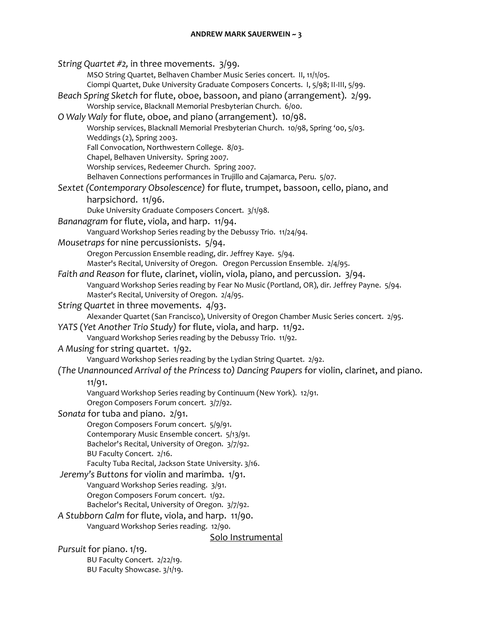#### **ANDREW MARK SAUERWEIN ~ 3**

*String Quartet #2,* in three movements. 3/99. MSO String Quartet, Belhaven Chamber Music Series concert. II, 11/1/05. Ciompi Quartet, Duke University Graduate Composers Concerts. I, 5/98; II-III, 5/99. *Beach Spring Sketch* for flute, oboe, bassoon, and piano (arrangement). 2/99. Worship service, Blacknall Memorial Presbyterian Church. 6/00. *O Waly Waly* for flute, oboe, and piano (arrangement). 10/98. Worship services, Blacknall Memorial Presbyterian Church. 10/98, Spring '00, 5/03. Weddings (2), Spring 2003. Fall Convocation, Northwestern College. 8/03. Chapel, Belhaven University. Spring 2007. Worship services, Redeemer Church. Spring 2007. Belhaven Connections performances in Trujillo and Cajamarca, Peru. 5/07. *Sextet (Contemporary Obsolescence)* for flute, trumpet, bassoon, cello, piano, and harpsichord. 11/96. Duke University Graduate Composers Concert. 3/1/98. *Bananagram* for flute, viola, and harp. 11/94. Vanguard Workshop Series reading by the Debussy Trio. 11/24/94. *Mousetraps* for nine percussionists. 5/94. Oregon Percussion Ensemble reading, dir. Jeffrey Kaye. 5/94. Master's Recital, University of Oregon. Oregon Percussion Ensemble. 2/4/95. *Faith and Reason* for flute, clarinet, violin, viola, piano, and percussion. 3/94. Vanguard Workshop Series reading by Fear No Music (Portland, OR), dir. Jeffrey Payne. 5/94. Master's Recital, University of Oregon. 2/4/95. *String Quartet* in three movements. 4/93. Alexander Quartet (San Francisco), University of Oregon Chamber Music Series concert. 2/95. *YATS* (*Yet Another Trio Study)* for flute, viola, and harp. 11/92. Vanguard Workshop Series reading by the Debussy Trio. 11/92. *A Musing* for string quartet. 1/92. Vanguard Workshop Series reading by the Lydian String Quartet. 2/92. *(The Unannounced Arrival of the Princess to) Dancing Paupers* for violin, clarinet, and piano. 11/91. Vanguard Workshop Series reading by Continuum (New York). 12/91. Oregon Composers Forum concert. 3/7/92. *Sonata* for tuba and piano. 2/91. Oregon Composers Forum concert. 5/9/91. Contemporary Music Ensemble concert. 5/13/91. Bachelor's Recital, University of Oregon. 3/7/92. BU Faculty Concert. 2/16. Faculty Tuba Recital, Jackson State University. 3/16. *Jeremy's Buttons* for violin and marimba. 1/91. Vanguard Workshop Series reading. 3/91. Oregon Composers Forum concert. 1/92. Bachelor's Recital, University of Oregon. 3/7/92. *A Stubborn Calm* for flute, viola, and harp. 11/90. Vanguard Workshop Series reading. 12/90. Solo Instrumental *Pursuit* for piano. 1/19. BU Faculty Concert. 2/22/19. BU Faculty Showcase. 3/1/19.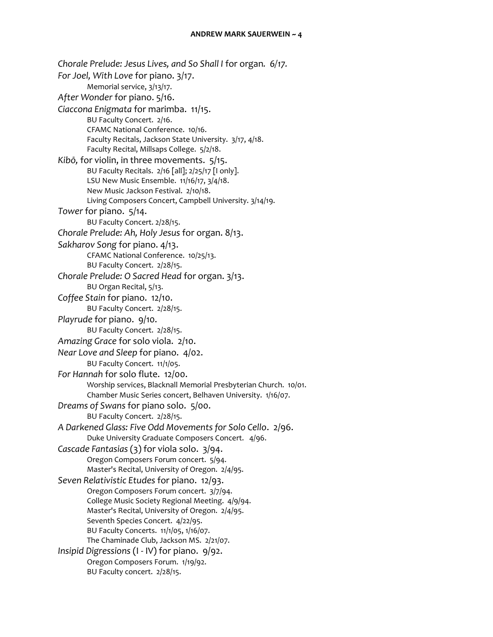*Chorale Prelude: Jesus Lives, and So Shall I* for organ*. 6/17. For Joel, With Love* for piano. 3/17. Memorial service, 3/13/17. *After Wonder* for piano. 5/16. *Ciaccona Enigmata* for marimba. 11/15. BU Faculty Concert. 2/16. CFAMC National Conference. 10/16. Faculty Recitals, Jackson State University. 3/17, 4/18. Faculty Recital, Millsaps College. 5/2/18. *Kibō,* for violin, in three movements. 5/15. BU Faculty Recitals. 2/16 [all]; 2/25/17 [I only]. LSU New Music Ensemble. 11/16/17, 3/4/18. New Music Jackson Festival. 2/10/18. Living Composers Concert, Campbell University. 3/14/19. *Tower* for piano. 5/14. BU Faculty Concert. 2/28/15. *Chorale Prelude: Ah, Holy Jesus* for organ. 8/13. *Sakharov Song* for piano. 4/13. CFAMC National Conference. 10/25/13. BU Faculty Concert. 2/28/15. *Chorale Prelude: O Sacred Head* for organ. 3/13. BU Organ Recital, 5/13. *Coffee Stain* for piano. 12/10. BU Faculty Concert. 2/28/15. *Playrude* for piano. 9/10. BU Faculty Concert. 2/28/15. *Amazing Grace* for solo viola. 2/10. *Near Love and Sleep* for piano. 4/02. BU Faculty Concert. 11/1/05. *For Hannah* for solo flute. 12/00. Worship services, Blacknall Memorial Presbyterian Church. 10/01. Chamber Music Series concert, Belhaven University. 1/16/07. *Dreams of Swans* for piano solo. 5/00. BU Faculty Concert. 2/28/15. *A Darkened Glass: Five Odd Movements for Solo Cello*. 2/96. Duke University Graduate Composers Concert. 4/96. *Cascade Fantasias* (3) for viola solo. 3/94. Oregon Composers Forum concert. 5/94. Master's Recital, University of Oregon. 2/4/95. *Seven Relativistic Etudes* for piano. 12/93. Oregon Composers Forum concert. 3/7/94. College Music Society Regional Meeting. 4/9/94. Master's Recital, University of Oregon. 2/4/95. Seventh Species Concert. 4/22/95. BU Faculty Concerts. 11/1/05, 1/16/07. The Chaminade Club, Jackson MS. 2/21/07. *Insipid Digressions* (I - IV) for piano. 9/92. Oregon Composers Forum. 1/19/92. BU Faculty concert. 2/28/15.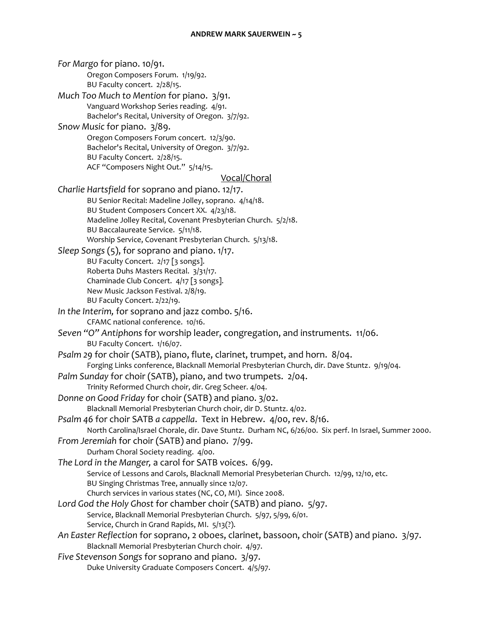*For Margo* for piano. 10/91. Oregon Composers Forum. 1/19/92. BU Faculty concert. 2/28/15. *Much Too Much to Mention* for piano. 3/91. Vanguard Workshop Series reading. 4/91. Bachelor's Recital, University of Oregon. 3/7/92. *Snow Music* for piano. 3/89. Oregon Composers Forum concert. 12/3/90. Bachelor's Recital, University of Oregon. 3/7/92. BU Faculty Concert. 2/28/15. ACF "Composers Night Out." 5/14/15. Vocal/Choral *Charlie Hartsfield* for soprano and piano. 12/17. BU Senior Recital: Madeline Jolley, soprano. 4/14/18. BU Student Composers Concert XX. 4/23/18. Madeline Jolley Recital, Covenant Presbyterian Church. 5/2/18. BU Baccalaureate Service. 5/11/18. Worship Service, Covenant Presbyterian Church. 5/13/18. *Sleep Songs* (5), for soprano and piano. 1/17. BU Faculty Concert. 2/17 [3 songs]. Roberta Duhs Masters Recital. 3/31/17. Chaminade Club Concert. 4/17 [3 songs]. New Music Jackson Festival. 2/8/19. BU Faculty Concert. 2/22/19. *In the Interim,* for soprano and jazz combo. 5/16. CFAMC national conference. 10/16. *Seven "O" Antiphons* for worship leader, congregation, and instruments. 11/06. BU Faculty Concert. 1/16/07. *Psalm 29* for choir (SATB), piano, flute, clarinet, trumpet, and horn. 8/04. Forging Links conference, Blacknall Memorial Presbyterian Church, dir. Dave Stuntz. 9/19/04. *Palm Sunday* for choir (SATB), piano, and two trumpets. 2/04. Trinity Reformed Church choir, dir. Greg Scheer. 4/04. *Donne on Good Friday* for choir (SATB) and piano. 3/02. Blacknall Memorial Presbyterian Church choir, dir D. Stuntz. 4/02. *Psalm 46* for choir SATB *a cappella*. Text in Hebrew. 4/00, rev. 8/16. North Carolina/Israel Chorale, dir. Dave Stuntz. Durham NC, 6/26/00. Six perf. In Israel, Summer 2000. *From Jeremiah* for choir (SATB) and piano. 7/99. Durham Choral Society reading. 4/00. *The Lord in the Manger,* a carol for SATB voices. 6/99. Service of Lessons and Carols, Blacknall Memorial Presybeterian Church. 12/99, 12/10, etc. BU Singing Christmas Tree, annually since 12/07. Church services in various states (NC, CO, MI). Since 2008. *Lord God the Holy Ghost* for chamber choir (SATB) and piano. 5/97. Service, Blacknall Memorial Presbyterian Church. 5/97, 5/99, 6/01. Service, Church in Grand Rapids, MI. 5/13(?). *An Easter Reflection* for soprano, 2 oboes, clarinet, bassoon, choir (SATB) and piano. 3/97. Blacknall Memorial Presbyterian Church choir. 4/97. *Five Stevenson Songs* for soprano and piano. 3/97. Duke University Graduate Composers Concert. 4/5/97.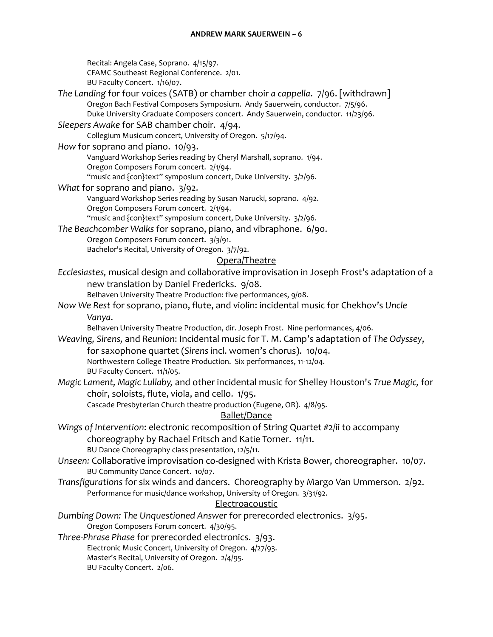#### **ANDREW MARK SAUERWEIN ~ 6**

Recital: Angela Case, Soprano. 4/15/97. CFAMC Southeast Regional Conference. 2/01. BU Faculty Concert. 1/16/07.

*The Landing* for four voices (SATB) or chamber choir *a cappella*. 7/96. [withdrawn] Oregon Bach Festival Composers Symposium. Andy Sauerwein, conductor. 7/5/96. Duke University Graduate Composers concert. Andy Sauerwein, conductor. 11/23/96.

## *Sleepers Awake* for SAB chamber choir. 4/94.

Collegium Musicum concert, University of Oregon. 5/17/94.

### *How* for soprano and piano. 10/93.

Vanguard Workshop Series reading by Cheryl Marshall, soprano. 1/94. Oregon Composers Forum concert. 2/1/94.

"music and {con}text" symposium concert, Duke University. 3/2/96.

### *What* for soprano and piano. 3/92.

Vanguard Workshop Series reading by Susan Narucki, soprano. 4/92. Oregon Composers Forum concert. 2/1/94.

"music and {con}text" symposium concert, Duke University. 3/2/96.

*The Beachcomber Walks* for soprano, piano, and vibraphone. 6/90.

Oregon Composers Forum concert. 3/3/91. Bachelor's Recital, University of Oregon. 3/7/92.

#### Opera/Theatre

*Ecclesiastes,* musical design and collaborative improvisation in Joseph Frost's adaptation of a new translation by Daniel Fredericks. 9/08.

Belhaven University Theatre Production: five performances, 9/08.

*Now We Rest* for soprano, piano, flute, and violin: incidental music for Chekhov's *Uncle Vanya*.

Belhaven University Theatre Production, dir. Joseph Frost. Nine performances, 4/06.

*Weaving, Sirens,* and *Reunion*: Incidental music for T. M. Camp's adaptation of *The Odyssey*, for saxophone quartet (*Sirens* incl. women's chorus). 10/04. Northwestern College Theatre Production. Six performances, 11-12/04.

BU Faculty Concert. 11/1/05.

*Magic Lament, Magic Lullaby,* and other incidental music for Shelley Houston's *True Magic,* for choir, soloists, flute, viola, and cello. 1/95.

Cascade Presbyterian Church theatre production (Eugene, OR). 4/8/95.

## Ballet/Dance

- *Wings of Intervention*: electronic recomposition of String Quartet #2/ii to accompany choreography by Rachael Fritsch and Katie Torner. 11/11. BU Dance Choreography class presentation, 12/5/11.
- *Unseen:* Collaborative improvisation co-designed with Krista Bower, choreographer. 10/07. BU Community Dance Concert. 10/07.
- *Transfigurations* for six winds and dancers. Choreography by Margo Van Ummerson. 2/92. Performance for music/dance workshop, University of Oregon. 3/31/92.

## **Electroacoustic**

*Dumbing Down: The Unquestioned Answer* for prerecorded electronics. 3/95. Oregon Composers Forum concert. 4/30/95.

*Three-Phrase Phase* for prerecorded electronics. 3/93. Electronic Music Concert, University of Oregon. 4/27/93. Master's Recital, University of Oregon. 2/4/95. BU Faculty Concert. 2/06.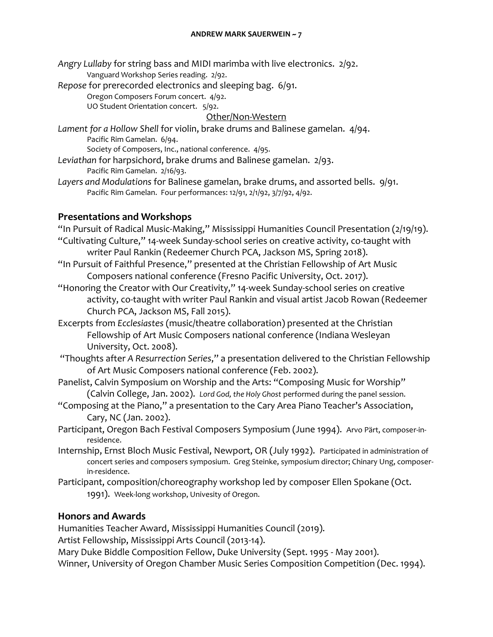*Angry Lullaby* for string bass and MIDI marimba with live electronics. 2/92. Vanguard Workshop Series reading. 2/92.

*Repose* for prerecorded electronics and sleeping bag. 6/91.

Oregon Composers Forum concert. 4/92.

UO Student Orientation concert. 5/92.

## Other/Non-Western

- *Lament for a Hollow Shell* for violin, brake drums and Balinese gamelan. 4/94. Pacific Rim Gamelan. 6/94. Society of Composers, Inc., national conference. 4/95.
- *Leviathan* for harpsichord, brake drums and Balinese gamelan. 2/93. Pacific Rim Gamelan. 2/16/93.
- *Layers and Modulations* for Balinese gamelan, brake drums, and assorted bells. 9/91. Pacific Rim Gamelan. Four performances: 12/91, 2/1/92, 3/7/92, 4/92.

## **Presentations and Workshops**

- "In Pursuit of Radical Music-Making," Mississippi Humanities Council Presentation (2/19/19). "Cultivating Culture," 14-week Sunday-school series on creative activity, co-taught with writer Paul Rankin (Redeemer Church PCA, Jackson MS, Spring 2018).
- "In Pursuit of Faithful Presence," presented at the Christian Fellowship of Art Music Composers national conference (Fresno Pacific University, Oct. 2017).
- "Honoring the Creator with Our Creativity," 14-week Sunday-school series on creative activity, co-taught with writer Paul Rankin and visual artist Jacob Rowan (Redeemer Church PCA, Jackson MS, Fall 2015).
- Excerpts from *Ecclesiastes* (music/theatre collaboration) presented at the Christian Fellowship of Art Music Composers national conference (Indiana Wesleyan University, Oct. 2008).
- "Thoughts after *A Resurrection Series*," a presentation delivered to the Christian Fellowship of Art Music Composers national conference (Feb. 2002).
- Panelist, Calvin Symposium on Worship and the Arts: "Composing Music for Worship" (Calvin College, Jan. 2002). *Lord God, the Holy Ghost* performed during the panel session.
- "Composing at the Piano," a presentation to the Cary Area Piano Teacher's Association, Cary, NC (Jan. 2002).
- Participant, Oregon Bach Festival Composers Symposium (June 1994). Arvo Pärt, composer-inresidence.
- Internship, Ernst Bloch Music Festival, Newport, OR (July 1992). Participated in administration of concert series and composers symposium. Greg Steinke, symposium director; Chinary Ung, composerin-residence.
- Participant, composition/choreography workshop led by composer Ellen Spokane (Oct. 1991). Week-long workshop, Univesity of Oregon.

# **Honors and Awards**

Humanities Teacher Award, Mississippi Humanities Council (2019).

Artist Fellowship, Mississippi Arts Council (2013-14).

Mary Duke Biddle Composition Fellow, Duke University (Sept. 1995 - May 2001).

Winner, University of Oregon Chamber Music Series Composition Competition (Dec. 1994).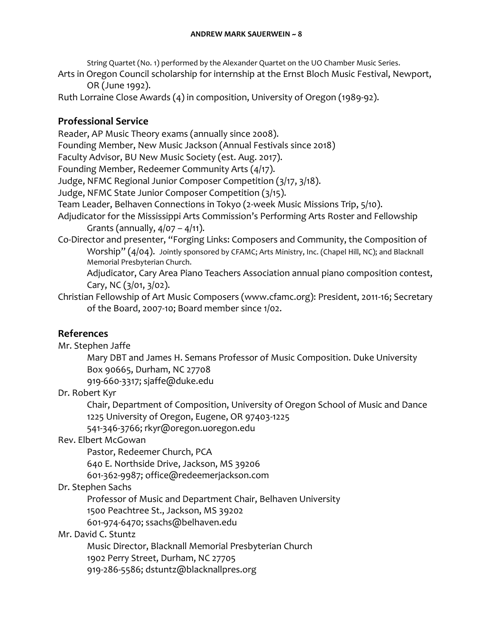String Quartet (No. 1) performed by the Alexander Quartet on the UO Chamber Music Series.

Arts in Oregon Council scholarship for internship at the Ernst Bloch Music Festival, Newport, OR (June 1992).

Ruth Lorraine Close Awards (4) in composition, University of Oregon (1989-92).

# **Professional Service**

Reader, AP Music Theory exams (annually since 2008). Founding Member, New Music Jackson (Annual Festivals since 2018) Faculty Advisor, BU New Music Society (est. Aug. 2017). Founding Member, Redeemer Community Arts (4/17). Judge, NFMC Regional Junior Composer Competition (3/17, 3/18). Judge, NFMC State Junior Composer Competition (3/15). Team Leader, Belhaven Connections in Tokyo (2-week Music Missions Trip, 5/10). Adjudicator for the Mississippi Arts Commission's Performing Arts Roster and Fellowship Grants (annually,  $4/07 - 4/11$ ). Co-Director and presenter, "Forging Links: Composers and Community, the Composition of Worship" (4/04). Jointly sponsored by CFAMC; Arts Ministry, Inc. (Chapel Hill, NC); and Blacknall Memorial Presbyterian Church. Adjudicator, Cary Area Piano Teachers Association annual piano composition contest, Cary, NC (3/01, 3/02).

Christian Fellowship of Art Music Composers (www.cfamc.org): President, 2011-16; Secretary of the Board, 2007-10; Board member since 1/02.

# **References**

Mr. Stephen Jaffe

Mary DBT and James H. Semans Professor of Music Composition. Duke University Box 90665, Durham, NC 27708

919-660-3317; sjaffe@duke.edu

Dr. Robert Kyr

Chair, Department of Composition, University of Oregon School of Music and Dance 1225 University of Oregon, Eugene, OR 97403-1225

541-346-3766; rkyr@oregon.uoregon.edu

# Rev. Elbert McGowan

Pastor, Redeemer Church, PCA

640 E. Northside Drive, Jackson, MS 39206

601-362-9987; office@redeemerjackson.com

# Dr. Stephen Sachs

Professor of Music and Department Chair, Belhaven University

1500 Peachtree St., Jackson, MS 39202

601-974-6470; ssachs@belhaven.edu

# Mr. David C. Stuntz

Music Director, Blacknall Memorial Presbyterian Church 1902 Perry Street, Durham, NC 27705 919-286-5586; dstuntz@blacknallpres.org